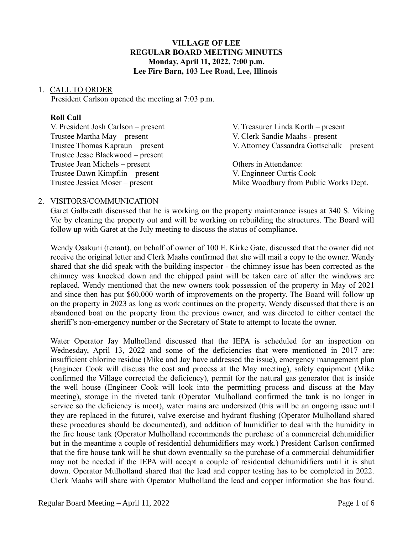## **VILLAGE OF LEE REGULAR BOARD MEETING MINUTES Monday, April 11, 2022, 7:00 p.m. Lee Fire Barn, 103 Lee Road, Lee, Illinois**

#### 1. CALL TO ORDER

President Carlson opened the meeting at 7:03 p.m.

#### **Roll Call**

| V. President Josh Carlson – present | V. Treasurer Linda Korth – present         |
|-------------------------------------|--------------------------------------------|
| Trustee Martha May – present        | V. Clerk Sandie Maahs - present            |
| Trustee Thomas Kapraun – present    | V. Attorney Cassandra Gottschalk – present |
| Trustee Jesse Blackwood – present   |                                            |
| Trustee Jean Michels – present      | Others in Attendance:                      |
| Trustee Dawn Kimpflin – present     | V. Enginneer Curtis Cook                   |
| Trustee Jessica Moser – present     | Mike Woodbury from Public Works Dept.      |

#### 2. VISITORS/COMMUNICATION

Garet Galbreath discussed that he is working on the property maintenance issues at 340 S. Viking Vie by cleaning the property out and will be working on rebuilding the structures. The Board will follow up with Garet at the July meeting to discuss the status of compliance.

Wendy Osakuni (tenant), on behalf of owner of 100 E. Kirke Gate, discussed that the owner did not receive the original letter and Clerk Maahs confirmed that she will mail a copy to the owner. Wendy shared that she did speak with the building inspector - the chimney issue has been corrected as the chimney was knocked down and the chipped paint will be taken care of after the windows are replaced. Wendy mentioned that the new owners took possession of the property in May of 2021 and since then has put \$60,000 worth of improvements on the property. The Board will follow up on the property in 2023 as long as work continues on the property. Wendy discussed that there is an abandoned boat on the property from the previous owner, and was directed to either contact the sheriff's non-emergency number or the Secretary of State to attempt to locate the owner.

Water Operator Jay Mulholland discussed that the IEPA is scheduled for an inspection on Wednesday, April 13, 2022 and some of the deficiencies that were mentioned in 2017 are: insufficient chlorine residue (Mike and Jay have addressed the issue), emergency management plan (Engineer Cook will discuss the cost and process at the May meeting), safety equipment (Mike confirmed the Village corrected the deficiency), permit for the natural gas generator that is inside the well house (Engineer Cook will look into the permitting process and discuss at the May meeting), storage in the riveted tank (Operator Mulholland confirmed the tank is no longer in service so the deficiency is moot), water mains are undersized (this will be an ongoing issue until they are replaced in the future), valve exercise and hydrant flushing (Operator Mulholland shared these procedures should be documented), and addition of humidifier to deal with the humidity in the fire house tank (Operator Mulholland recommends the purchase of a commercial dehumidifier but in the meantime a couple of residential dehumidifiers may work.) President Carlson confirmed that the fire house tank will be shut down eventually so the purchase of a commercial dehumidifier may not be needed if the IEPA will accept a couple of residential dehumidifiers until it is shut down. Operator Mulholland shared that the lead and copper testing has to be completed in 2022. Clerk Maahs will share with Operator Mulholland the lead and copper information she has found.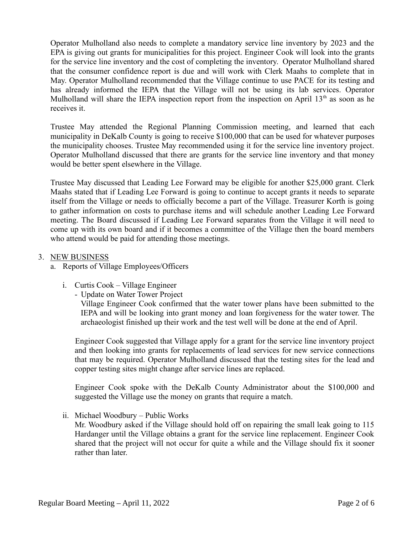Operator Mulholland also needs to complete a mandatory service line inventory by 2023 and the EPA is giving out grants for municipalities for this project. Engineer Cook will look into the grants for the service line inventory and the cost of completing the inventory. Operator Mulholland shared that the consumer confidence report is due and will work with Clerk Maahs to complete that in May. Operator Mulholland recommended that the Village continue to use PACE for its testing and has already informed the IEPA that the Village will not be using its lab services. Operator Mulholland will share the IEPA inspection report from the inspection on April  $13<sup>th</sup>$  as soon as he receives it.

Trustee May attended the Regional Planning Commission meeting, and learned that each municipality in DeKalb County is going to receive \$100,000 that can be used for whatever purposes the municipality chooses. Trustee May recommended using it for the service line inventory project. Operator Mulholland discussed that there are grants for the service line inventory and that money would be better spent elsewhere in the Village.

Trustee May discussed that Leading Lee Forward may be eligible for another \$25,000 grant. Clerk Maahs stated that if Leading Lee Forward is going to continue to accept grants it needs to separate itself from the Village or needs to officially become a part of the Village. Treasurer Korth is going to gather information on costs to purchase items and will schedule another Leading Lee Forward meeting. The Board discussed if Leading Lee Forward separates from the Village it will need to come up with its own board and if it becomes a committee of the Village then the board members who attend would be paid for attending those meetings.

## 3. NEW BUSINESS

- a. Reports of Village Employees/Officers
	- i. Curtis Cook Village Engineer
		- Update on Water Tower Project

Village Engineer Cook confirmed that the water tower plans have been submitted to the IEPA and will be looking into grant money and loan forgiveness for the water tower. The archaeologist finished up their work and the test well will be done at the end of April.

Engineer Cook suggested that Village apply for a grant for the service line inventory project and then looking into grants for replacements of lead services for new service connections that may be required. Operator Mulholland discussed that the testing sites for the lead and copper testing sites might change after service lines are replaced.

Engineer Cook spoke with the DeKalb County Administrator about the \$100,000 and suggested the Village use the money on grants that require a match.

ii. Michael Woodbury – Public Works

Mr. Woodbury asked if the Village should hold off on repairing the small leak going to 115 Hardanger until the Village obtains a grant for the service line replacement. Engineer Cook shared that the project will not occur for quite a while and the Village should fix it sooner rather than later.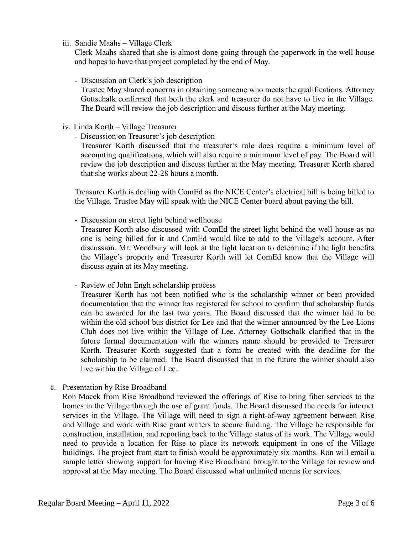iii. Sandie Maahs – Village Clerk

Clerk Maahs shared that she is almost done going through the paperwork in the well house and hopes to have that project completed by the end of May.

- Discussion on Clerk's job description

Trustee May shared concerns in obtaining someone who meets the qualifications. Attorney Gottschalk confirmed that both the clerk and treasurer do not have to live in the Village. The Board will review the job description and discuss further at the May meeting.

- iv. Linda Korth Village Treasurer
	- Discussion on Treasurer's job description

Treasurer Korth discussed that the treasurer's role does require a minimum level of accounting qualifications, which will also require a minimum level of pay. The Board will review the job description and discuss further at the May meeting. Treasurer Korth shared that she works about 22-28 hours a month.

Treasurer Korth is dealing with ComEd as the NICE Center's electrical bill is being billed to the Village. Trustee May will speak with the NICE Center board about paying the bill.

- Discussion on street light behind wellhouse

Treasurer Korth also discussed with ComEd the street light behind the well house as no one is being billed for it and ComEd would like to add to the Village's account. After discussion, Mr. Woodbury will look at the light location to determine if the light benefits the Village's property and Treasurer Korth will let ComEd know that the Village will discuss again at its May meeting.

- Review of John Engh scholarship process

Treasurer Korth has not been notified who is the scholarship winner or been provided documentation that the winner has registered for school to confirm that scholarship funds can be awarded for the last two years. The Board discussed that the winner had to be within the old school bus district for Lee and that the winner announced by the Lee Lions Club does not live within the Village of Lee. Attorney Gottschalk clarified that in the future formal documentation with the winners name should be provided to Treasurer Korth. Treasurer Korth suggested that a form be created with the deadline for the scholarship to be claimed. The Board discussed that in the future the winner should also live within the Village of Lee.

c. Presentation by Rise Broadband

Ron Macek from Rise Broadband reviewed the offerings of Rise to bring fiber services to the homes in the Village through the use of grant funds. The Board discussed the needs for internet services in the Village. The Village will need to sign a right-of-way agreement between Rise and Village and work with Rise grant writers to secure funding. The Village be responsible for construction, installation, and reporting back to the Village status of its work. The Village would need to provide a location for Rise to place its network equipment in one of the Village buildings. The project from start to finish would be approximately six months. Ron will email a sample letter showing support for having Rise Broadband brought to the Village for review and approval at the May meeting. The Board discussed what unlimited means for services.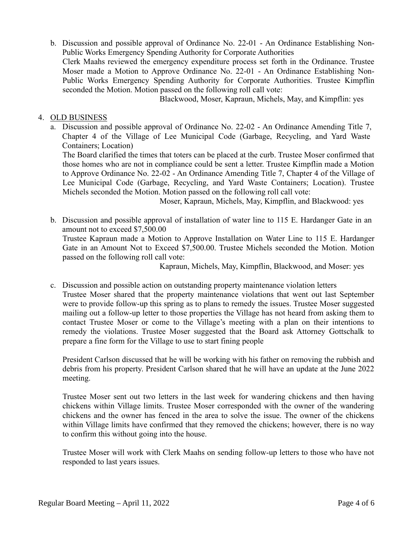b. Discussion and possible approval of Ordinance No. 22-01 - An Ordinance Establishing Non-Public Works Emergency Spending Authority for Corporate Authorities Clerk Maahs reviewed the emergency expenditure process set forth in the Ordinance. Trustee Moser made a Motion to Approve Ordinance No. 22-01 - An Ordinance Establishing Non-Public Works Emergency Spending Authority for Corporate Authorities. Trustee Kimpflin seconded the Motion. Motion passed on the following roll call vote:

Blackwood, Moser, Kapraun, Michels, May, and Kimpflin: yes

### 4. OLD BUSINESS

a. Discussion and possible approval of Ordinance No. 22-02 - An Ordinance Amending Title 7, Chapter 4 of the Village of Lee Municipal Code (Garbage, Recycling, and Yard Waste Containers; Location)

The Board clarified the times that toters can be placed at the curb. Trustee Moser confirmed that those homes who are not in compliance could be sent a letter. Trustee Kimpflin made a Motion to Approve Ordinance No. 22-02 - An Ordinance Amending Title 7, Chapter 4 of the Village of Lee Municipal Code (Garbage, Recycling, and Yard Waste Containers; Location). Trustee Michels seconded the Motion. Motion passed on the following roll call vote:

Moser, Kapraun, Michels, May, Kimpflin, and Blackwood: yes

b. Discussion and possible approval of installation of water line to 115 E. Hardanger Gate in an amount not to exceed \$7,500.00 Trustee Kapraun made a Motion to Approve Installation on Water Line to 115 E. Hardanger Gate in an Amount Not to Exceed \$7,500.00. Trustee Michels seconded the Motion. Motion passed on the following roll call vote:

Kapraun, Michels, May, Kimpflin, Blackwood, and Moser: yes

c. Discussion and possible action on outstanding property maintenance violation letters Trustee Moser shared that the property maintenance violations that went out last September were to provide follow-up this spring as to plans to remedy the issues. Trustee Moser suggested mailing out a follow-up letter to those properties the Village has not heard from asking them to contact Trustee Moser or come to the Village's meeting with a plan on their intentions to remedy the violations. Trustee Moser suggested that the Board ask Attorney Gottschalk to prepare a fine form for the Village to use to start fining people

President Carlson discussed that he will be working with his father on removing the rubbish and debris from his property. President Carlson shared that he will have an update at the June 2022 meeting.

Trustee Moser sent out two letters in the last week for wandering chickens and then having chickens within Village limits. Trustee Moser corresponded with the owner of the wandering chickens and the owner has fenced in the area to solve the issue. The owner of the chickens within Village limits have confirmed that they removed the chickens; however, there is no way to confirm this without going into the house.

Trustee Moser will work with Clerk Maahs on sending follow-up letters to those who have not responded to last years issues.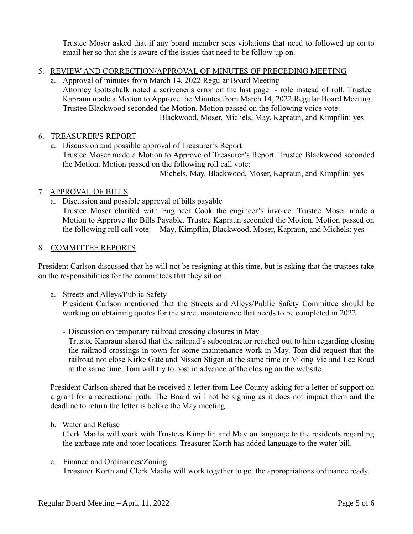Trustee Moser asked that if any board member sees violations that need to followed up on to email her so that she is aware of the issues that need to be follow-up on.

- 5. REVIEW AND CORRECTION/APPROVAL OF MINUTES OF PRECEDING MEETING
	- a. Approval of minutes from March 14, 2022 Regular Board Meeting Attorney Gottschalk noted a scrivener's error on the last page - role instead of roll. Trustee Kapraun made a Motion to Approve the Minutes from March 14, 2022 Regular Board Meeting. Trustee Blackwood seconded the Motion. Motion passed on the following voice vote: Blackwood, Moser, Michels, May, Kapraun, and Kimpflin: yes

## 6. TREASURER'S REPORT

a. Discussion and possible approval of Treasurer's Report Trustee Moser made a Motion to Approve of Treasurer's Report. Trustee Blackwood seconded the Motion. Motion passed on the following roll call vote:

Michels, May, Blackwood, Moser, Kapraun, and Kimpflin: yes

### 7. APPROVAL OF BILLS

a. Discussion and possible approval of bills payable

Trustee Moser clarifed with Engineer Cook the engineer's invoice. Trustee Moser made a Motion to Approve the Bills Payable. Trustee Kapraun seconded the Motion. Motion passed on the following roll call vote: May, Kimpflin, Blackwood, Moser, Kapraun, and Michels: yes

### 8. COMMITTEE REPORTS

President Carlson discussed that he will not be resigning at this time, but is asking that the trustees take on the responsibilities for the committees that they sit on.

a. Streets and Alleys/Public Safety

President Carlson mentioned that the Streets and Alleys/Public Safety Committee should be working on obtaining quotes for the street maintenance that needs to be completed in 2022.

- Discussion on temporary railroad crossing closures in May

Trustee Kapraun shared that the railroad's subcontractor reached out to him regarding closing the railraod crossings in town for some maintenance work in May. Tom did request that the railroad not close Kirke Gate and Nissen Stigen at the same time or Viking Vie and Lee Road at the same time. Tom will try to post in advance of the closing on the website.

President Carlson shared that he received a letter from Lee County asking for a letter of support on a grant for a recreational path. The Board will not be signing as it does not impact them and the deadline to return the letter is before the May meeting.

b. Water and Refuse

Clerk Maahs will work with Trustees Kimpflin and May on language to the residents regarding the garbage rate and toter locations. Treasurer Korth has added language to the water bill.

c. Finance and Ordinances/Zoning Treasurer Korth and Clerk Maahs will work together to get the appropriations ordinance ready.